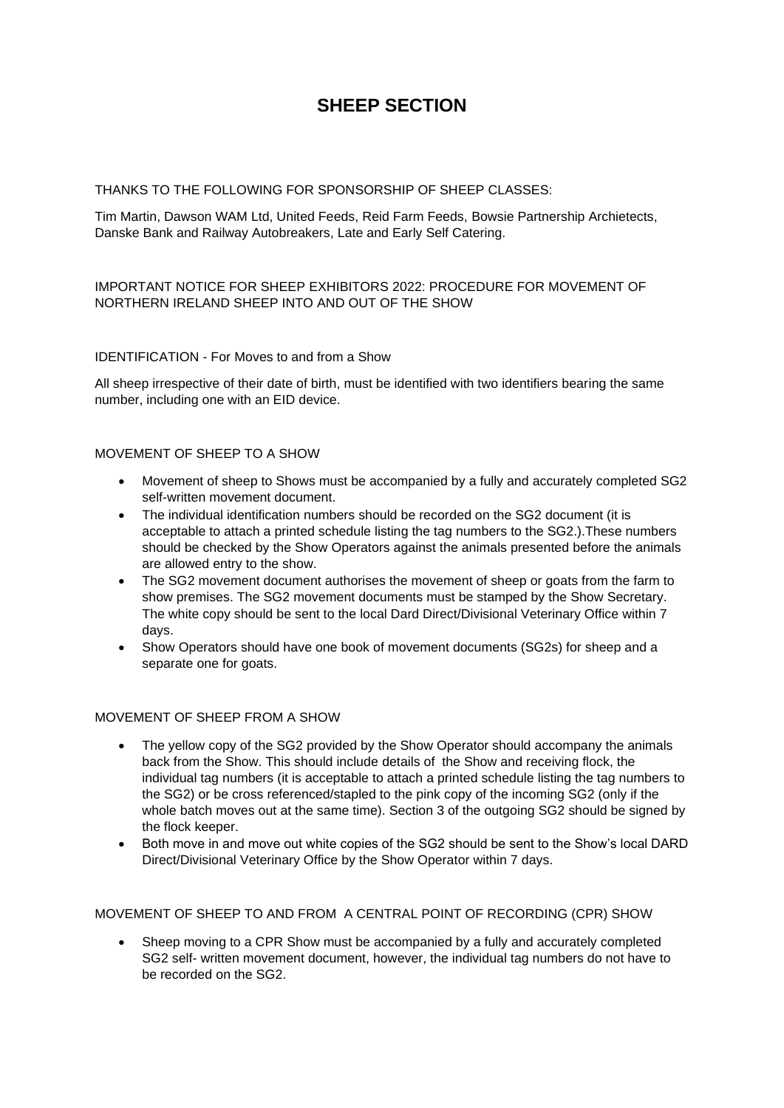# **SHEEP SECTION**

## THANKS TO THE FOLLOWING FOR SPONSORSHIP OF SHEEP CLASSES:

Tim Martin, Dawson WAM Ltd, United Feeds, Reid Farm Feeds, Bowsie Partnership Archietects, Danske Bank and Railway Autobreakers, Late and Early Self Catering.

## IMPORTANT NOTICE FOR SHEEP EXHIBITORS 2022: PROCEDURE FOR MOVEMENT OF NORTHERN IRELAND SHEEP INTO AND OUT OF THE SHOW

## IDENTIFICATION - For Moves to and from a Show

All sheep irrespective of their date of birth, must be identified with two identifiers bearing the same number, including one with an EID device.

#### MOVEMENT OF SHEEP TO A SHOW

- Movement of sheep to Shows must be accompanied by a fully and accurately completed SG2 self-written movement document.
- The individual identification numbers should be recorded on the SG2 document (it is acceptable to attach a printed schedule listing the tag numbers to the SG2.).These numbers should be checked by the Show Operators against the animals presented before the animals are allowed entry to the show.
- The SG2 movement document authorises the movement of sheep or goats from the farm to show premises. The SG2 movement documents must be stamped by the Show Secretary. The white copy should be sent to the local Dard Direct/Divisional Veterinary Office within 7 days.
- Show Operators should have one book of movement documents (SG2s) for sheep and a separate one for goats.

## MOVEMENT OF SHEEP FROM A SHOW

- The yellow copy of the SG2 provided by the Show Operator should accompany the animals back from the Show. This should include details of the Show and receiving flock, the individual tag numbers (it is acceptable to attach a printed schedule listing the tag numbers to the SG2) or be cross referenced/stapled to the pink copy of the incoming SG2 (only if the whole batch moves out at the same time). Section 3 of the outgoing SG2 should be signed by the flock keeper.
- Both move in and move out white copies of the SG2 should be sent to the Show's local DARD Direct/Divisional Veterinary Office by the Show Operator within 7 days.

#### MOVEMENT OF SHEEP TO AND FROM A CENTRAL POINT OF RECORDING (CPR) SHOW

• Sheep moving to a CPR Show must be accompanied by a fully and accurately completed SG2 self- written movement document, however, the individual tag numbers do not have to be recorded on the SG2.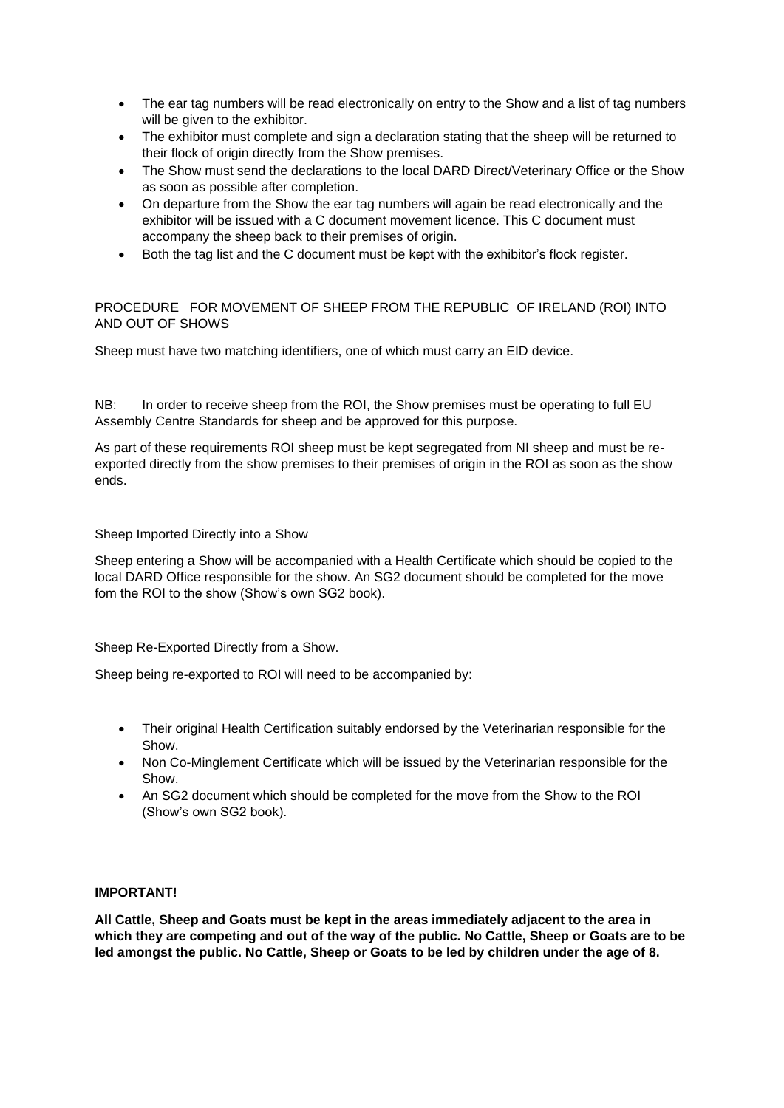- The ear tag numbers will be read electronically on entry to the Show and a list of tag numbers will be given to the exhibitor.
- The exhibitor must complete and sign a declaration stating that the sheep will be returned to their flock of origin directly from the Show premises.
- The Show must send the declarations to the local DARD Direct/Veterinary Office or the Show as soon as possible after completion.
- On departure from the Show the ear tag numbers will again be read electronically and the exhibitor will be issued with a C document movement licence. This C document must accompany the sheep back to their premises of origin.
- Both the tag list and the C document must be kept with the exhibitor's flock register.

## PROCEDURE FOR MOVEMENT OF SHEEP FROM THE REPUBLIC OF IRELAND (ROI) INTO AND OUT OF SHOWS

Sheep must have two matching identifiers, one of which must carry an EID device.

NB: In order to receive sheep from the ROI, the Show premises must be operating to full EU Assembly Centre Standards for sheep and be approved for this purpose.

As part of these requirements ROI sheep must be kept segregated from NI sheep and must be reexported directly from the show premises to their premises of origin in the ROI as soon as the show ends.

Sheep Imported Directly into a Show

Sheep entering a Show will be accompanied with a Health Certificate which should be copied to the local DARD Office responsible for the show. An SG2 document should be completed for the move fom the ROI to the show (Show's own SG2 book).

Sheep Re-Exported Directly from a Show.

Sheep being re-exported to ROI will need to be accompanied by:

- Their original Health Certification suitably endorsed by the Veterinarian responsible for the Show.
- Non Co-Minglement Certificate which will be issued by the Veterinarian responsible for the Show.
- An SG2 document which should be completed for the move from the Show to the ROI (Show's own SG2 book).

#### **IMPORTANT!**

**All Cattle, Sheep and Goats must be kept in the areas immediately adjacent to the area in which they are competing and out of the way of the public. No Cattle, Sheep or Goats are to be led amongst the public. No Cattle, Sheep or Goats to be led by children under the age of 8.**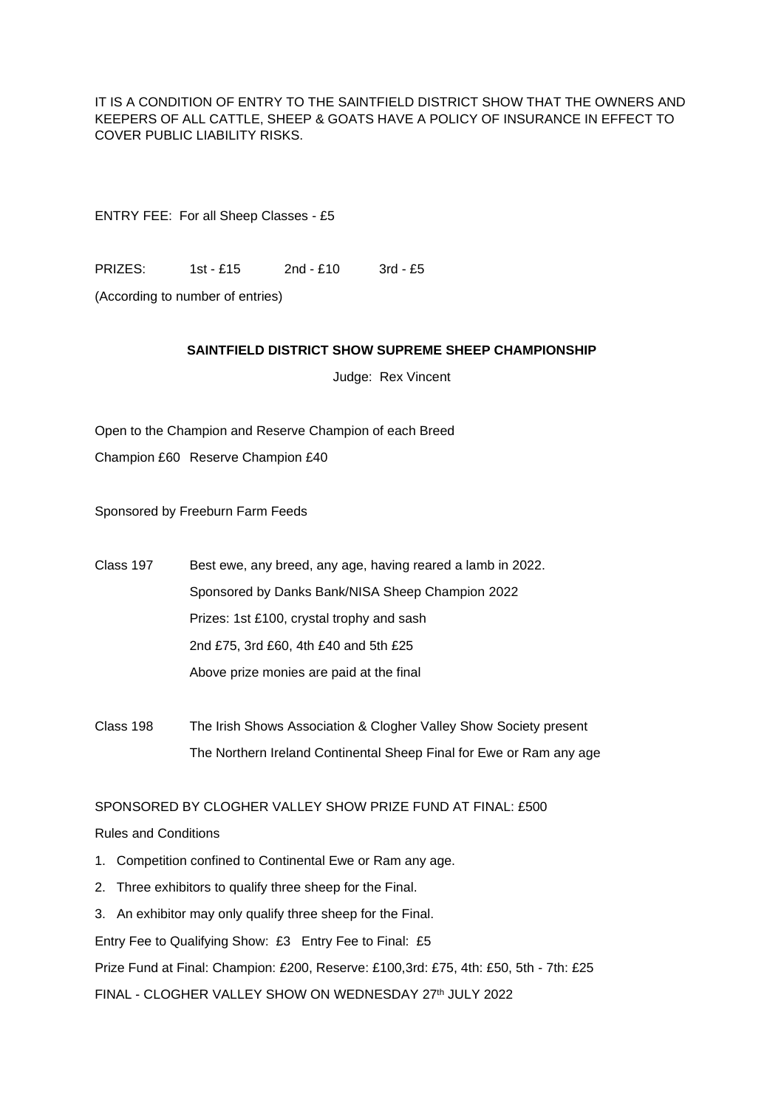IT IS A CONDITION OF ENTRY TO THE SAINTFIELD DISTRICT SHOW THAT THE OWNERS AND KEEPERS OF ALL CATTLE, SHEEP & GOATS HAVE A POLICY OF INSURANCE IN EFFECT TO COVER PUBLIC LIABILITY RISKS.

ENTRY FEE: For all Sheep Classes - £5

PRIZES: 1st - £15 2nd - £10 3rd - £5

(According to number of entries)

#### **SAINTFIELD DISTRICT SHOW SUPREME SHEEP CHAMPIONSHIP**

Judge: Rex Vincent

Open to the Champion and Reserve Champion of each Breed Champion £60 Reserve Champion £40

Sponsored by Freeburn Farm Feeds

Class 197 Best ewe, any breed, any age, having reared a lamb in 2022. Sponsored by Danks Bank/NISA Sheep Champion 2022 Prizes: 1st £100, crystal trophy and sash 2nd £75, 3rd £60, 4th £40 and 5th £25 Above prize monies are paid at the final

Class 198 The Irish Shows Association & Clogher Valley Show Society present The Northern Ireland Continental Sheep Final for Ewe or Ram any age

SPONSORED BY CLOGHER VALLEY SHOW PRIZE FUND AT FINAL: £500

## Rules and Conditions

- 1. Competition confined to Continental Ewe or Ram any age.
- 2. Three exhibitors to qualify three sheep for the Final.
- 3. An exhibitor may only qualify three sheep for the Final.

Entry Fee to Qualifying Show: £3 Entry Fee to Final: £5

Prize Fund at Final: Champion: £200, Reserve: £100,3rd: £75, 4th: £50, 5th - 7th: £25

FINAL - CLOGHER VALLEY SHOW ON WEDNESDAY 27th JULY 2022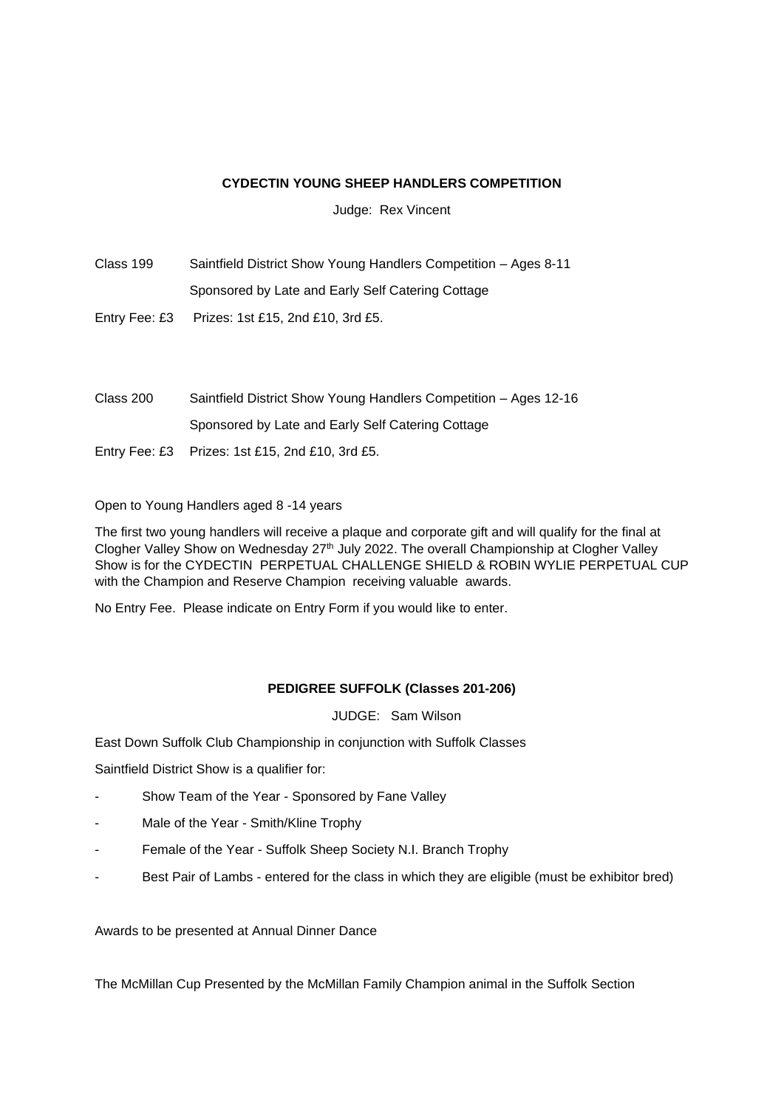## **CYDECTIN YOUNG SHEEP HANDLERS COMPETITION**

Judge: Rex Vincent

Class 199 Saintfield District Show Young Handlers Competition – Ages 8-11 Sponsored by Late and Early Self Catering Cottage

Entry Fee: £3 Prizes: 1st £15, 2nd £10, 3rd £5.

Class 200 Saintfield District Show Young Handlers Competition – Ages 12-16 Sponsored by Late and Early Self Catering Cottage Entry Fee: £3 Prizes: 1st £15, 2nd £10, 3rd £5.

Open to Young Handlers aged 8 -14 years

The first two young handlers will receive a plaque and corporate gift and will qualify for the final at Clogher Valley Show on Wednesday 27<sup>th</sup> July 2022. The overall Championship at Clogher Valley Show is for the CYDECTIN PERPETUAL CHALLENGE SHIELD & ROBIN WYLIE PERPETUAL CUP with the Champion and Reserve Champion receiving valuable awards.

No Entry Fee. Please indicate on Entry Form if you would like to enter.

## **PEDIGREE SUFFOLK (Classes 201-206)**

JUDGE: Sam Wilson

East Down Suffolk Club Championship in conjunction with Suffolk Classes

Saintfield District Show is a qualifier for:

- Show Team of the Year Sponsored by Fane Valley
- Male of the Year Smith/Kline Trophy
- Female of the Year Suffolk Sheep Society N.I. Branch Trophy
- Best Pair of Lambs entered for the class in which they are eligible (must be exhibitor bred)

Awards to be presented at Annual Dinner Dance

The McMillan Cup Presented by the McMillan Family Champion animal in the Suffolk Section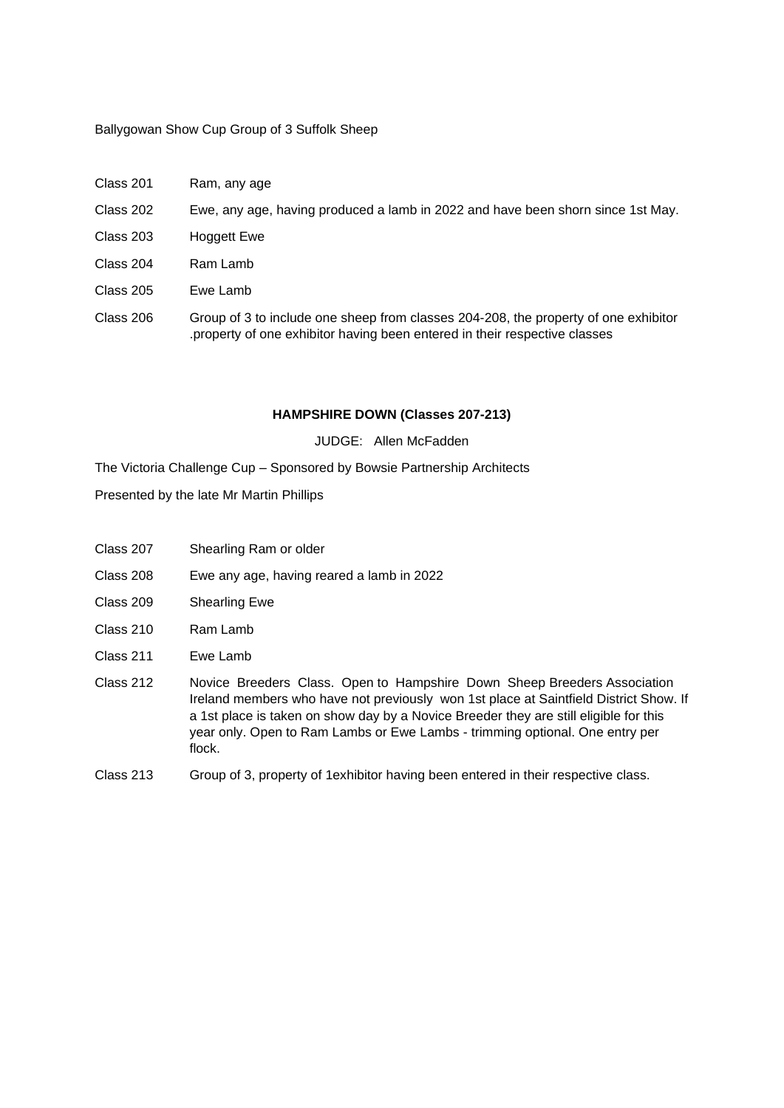#### Ballygowan Show Cup Group of 3 Suffolk Sheep

- Class 201 Ram, any age
- Class 202 Ewe, any age, having produced a lamb in 2022 and have been shorn since 1st May.
- Class 203 Hoggett Ewe
- Class 204 Ram Lamb
- Class 205 Ewe Lamb
- Class 206 Group of 3 to include one sheep from classes 204-208, the property of one exhibitor .property of one exhibitor having been entered in their respective classes

#### **HAMPSHIRE DOWN (Classes 207-213)**

JUDGE: Allen McFadden

The Victoria Challenge Cup – Sponsored by Bowsie Partnership Architects

Presented by the late Mr Martin Phillips

- Class 207 Shearling Ram or older
- Class 208 Ewe any age, having reared a lamb in 2022
- Class 209 Shearling Ewe
- Class 210 Ram Lamb
- Class 211 Ewe Lamb
- Class 212 Novice Breeders Class. Open to Hampshire Down Sheep Breeders Association Ireland members who have not previously won 1st place at Saintfield District Show. If a 1st place is taken on show day by a Novice Breeder they are still eligible for this year only. Open to Ram Lambs or Ewe Lambs - trimming optional. One entry per flock.
- Class 213 Group of 3, property of 1exhibitor having been entered in their respective class.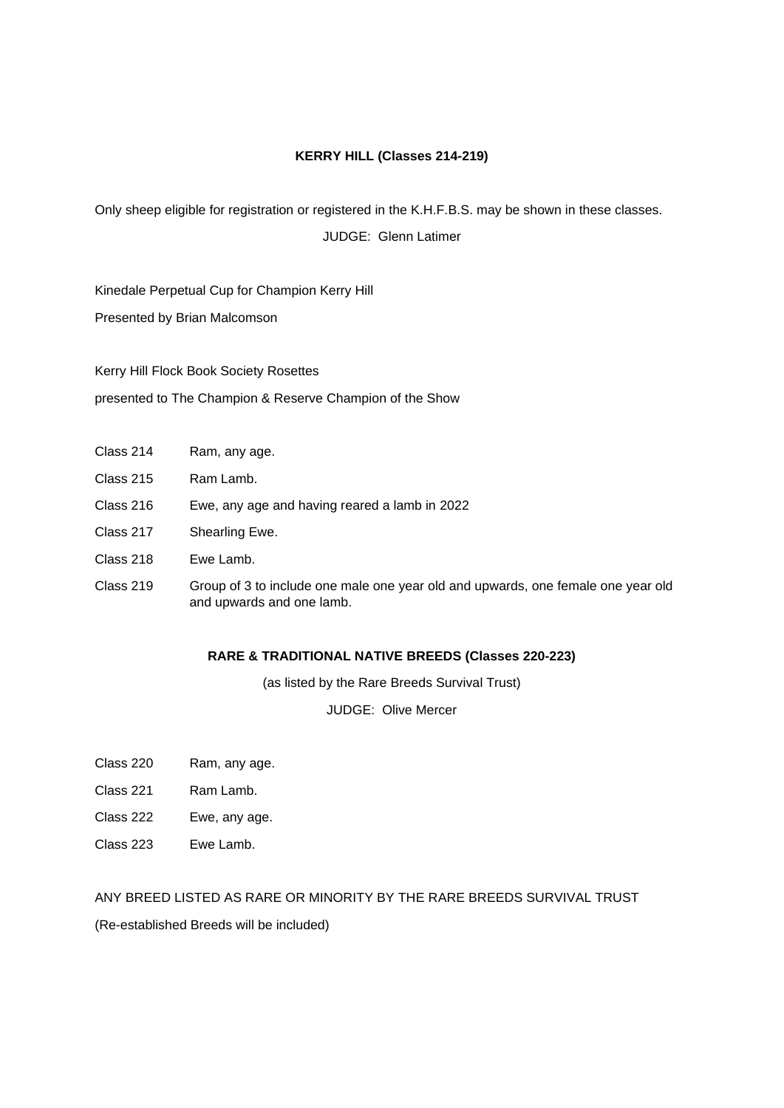## **KERRY HILL (Classes 214-219)**

Only sheep eligible for registration or registered in the K.H.F.B.S. may be shown in these classes.

JUDGE: Glenn Latimer

Kinedale Perpetual Cup for Champion Kerry Hill

Presented by Brian Malcomson

Kerry Hill Flock Book Society Rosettes presented to The Champion & Reserve Champion of the Show

| Class 214 | Ram, any age. |
|-----------|---------------|
|-----------|---------------|

- Class 215 Ram Lamb.
- Class 216 Ewe, any age and having reared a lamb in 2022
- Class 217 Shearling Ewe.
- Class 218 Ewe Lamb.
- Class 219 Group of 3 to include one male one year old and upwards, one female one year old and upwards and one lamb.

#### **RARE & TRADITIONAL NATIVE BREEDS (Classes 220-223)**

(as listed by the Rare Breeds Survival Trust)

JUDGE: Olive Mercer

- Class 220 Ram, any age.
- Class 221 Ram Lamb.
- Class 222 Ewe, any age.
- Class 223 Ewe Lamb.

## ANY BREED LISTED AS RARE OR MINORITY BY THE RARE BREEDS SURVIVAL TRUST

(Re-established Breeds will be included)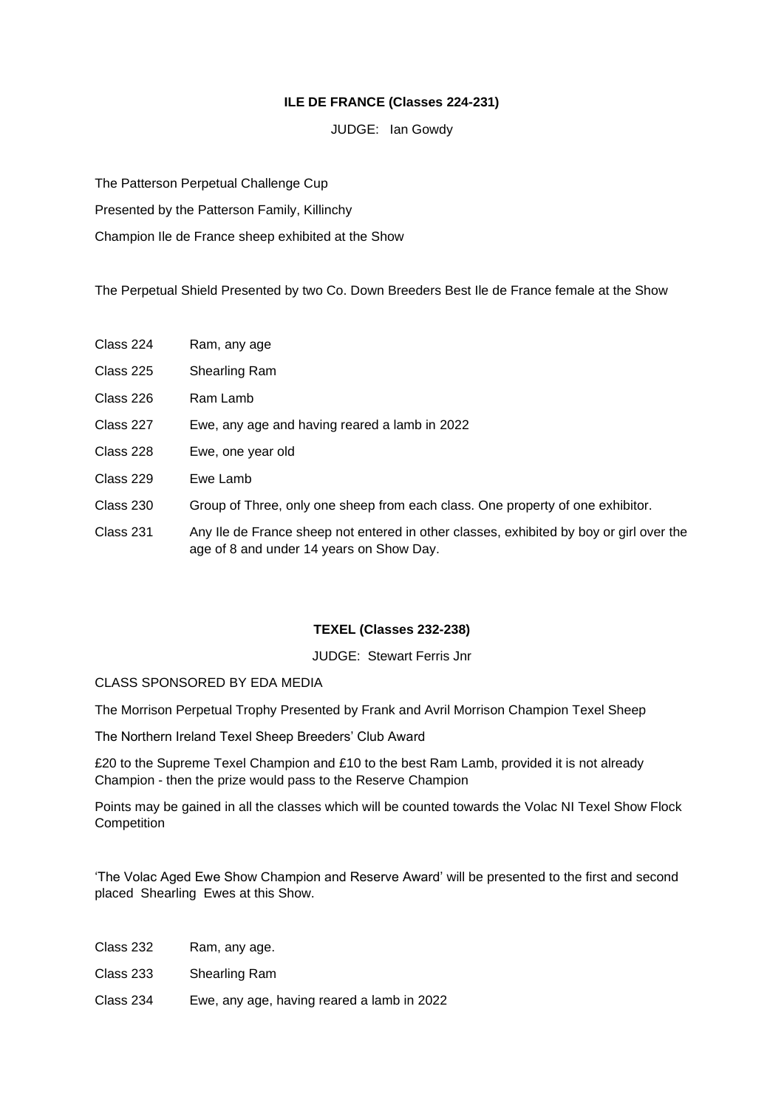## **ILE DE FRANCE (Classes 224-231)**

JUDGE: Ian Gowdy

The Patterson Perpetual Challenge Cup

Presented by the Patterson Family, Killinchy

Champion Ile de France sheep exhibited at the Show

The Perpetual Shield Presented by two Co. Down Breeders Best Ile de France female at the Show

- Class 224 Ram, any age
- Class 225 Shearling Ram
- Class 226 Ram Lamb
- Class 227 Ewe, any age and having reared a lamb in 2022
- Class 228 Ewe, one year old
- Class 229 Ewe Lamb
- Class 230 Group of Three, only one sheep from each class. One property of one exhibitor.
- Class 231 Any Ile de France sheep not entered in other classes, exhibited by boy or girl over the age of 8 and under 14 years on Show Day.

#### **TEXEL (Classes 232-238)**

JUDGE: Stewart Ferris Jnr

## CLASS SPONSORED BY EDA MEDIA

The Morrison Perpetual Trophy Presented by Frank and Avril Morrison Champion Texel Sheep

The Northern Ireland Texel Sheep Breeders' Club Award

£20 to the Supreme Texel Champion and £10 to the best Ram Lamb, provided it is not already Champion - then the prize would pass to the Reserve Champion

Points may be gained in all the classes which will be counted towards the Volac NI Texel Show Flock **Competition** 

'The Volac Aged Ewe Show Champion and Reserve Award' will be presented to the first and second placed Shearling Ewes at this Show.

- Class 232 Ram, any age.
- Class 233 Shearling Ram
- Class 234 Ewe, any age, having reared a lamb in 2022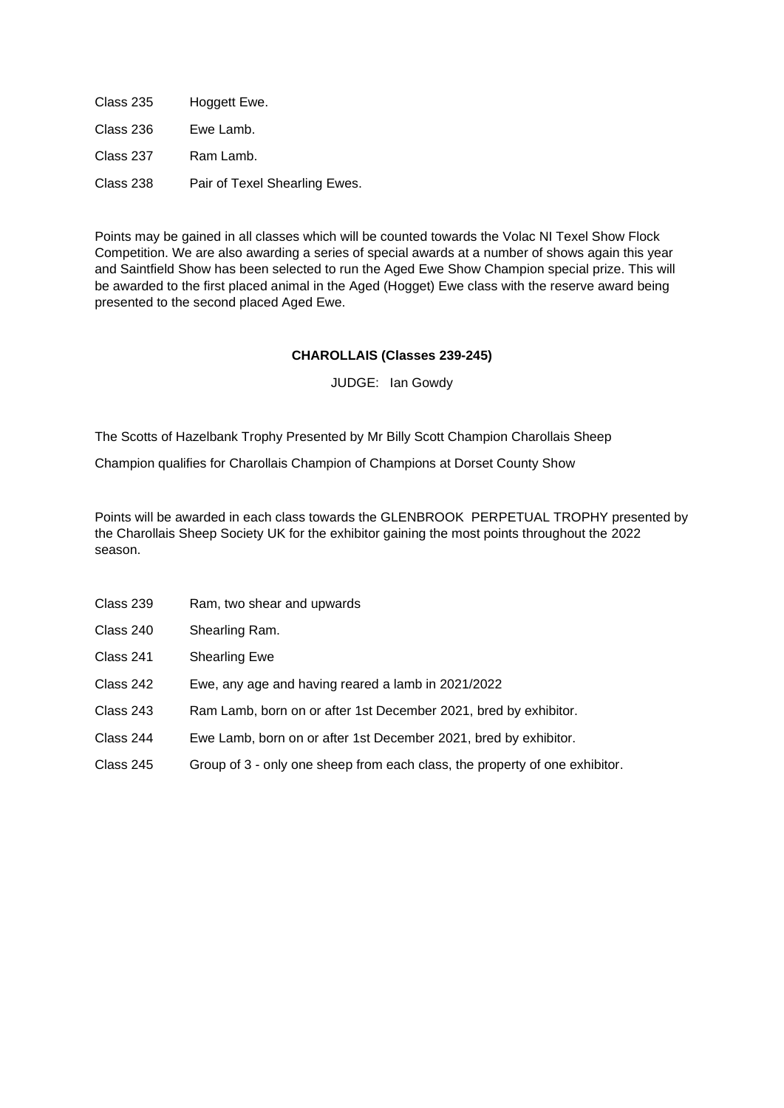Class 235 Hoggett Ewe. Class 236 Ewe Lamb. Class 237 Ram Lamb. Class 238 Pair of Texel Shearling Ewes.

Points may be gained in all classes which will be counted towards the Volac NI Texel Show Flock Competition. We are also awarding a series of special awards at a number of shows again this year and Saintfield Show has been selected to run the Aged Ewe Show Champion special prize. This will be awarded to the first placed animal in the Aged (Hogget) Ewe class with the reserve award being presented to the second placed Aged Ewe.

## **CHAROLLAIS (Classes 239-245)**

JUDGE: Ian Gowdy

The Scotts of Hazelbank Trophy Presented by Mr Billy Scott Champion Charollais Sheep

Champion qualifies for Charollais Champion of Champions at Dorset County Show

Points will be awarded in each class towards the GLENBROOK PERPETUAL TROPHY presented by the Charollais Sheep Society UK for the exhibitor gaining the most points throughout the 2022 season.

- Class 239 Ram, two shear and upwards
- Class 240 Shearling Ram.
- Class 241 Shearling Ewe
- Class 242 Ewe, any age and having reared a lamb in 2021/2022
- Class 243 Ram Lamb, born on or after 1st December 2021, bred by exhibitor.
- Class 244 Ewe Lamb, born on or after 1st December 2021, bred by exhibitor.
- Class 245 Group of 3 only one sheep from each class, the property of one exhibitor.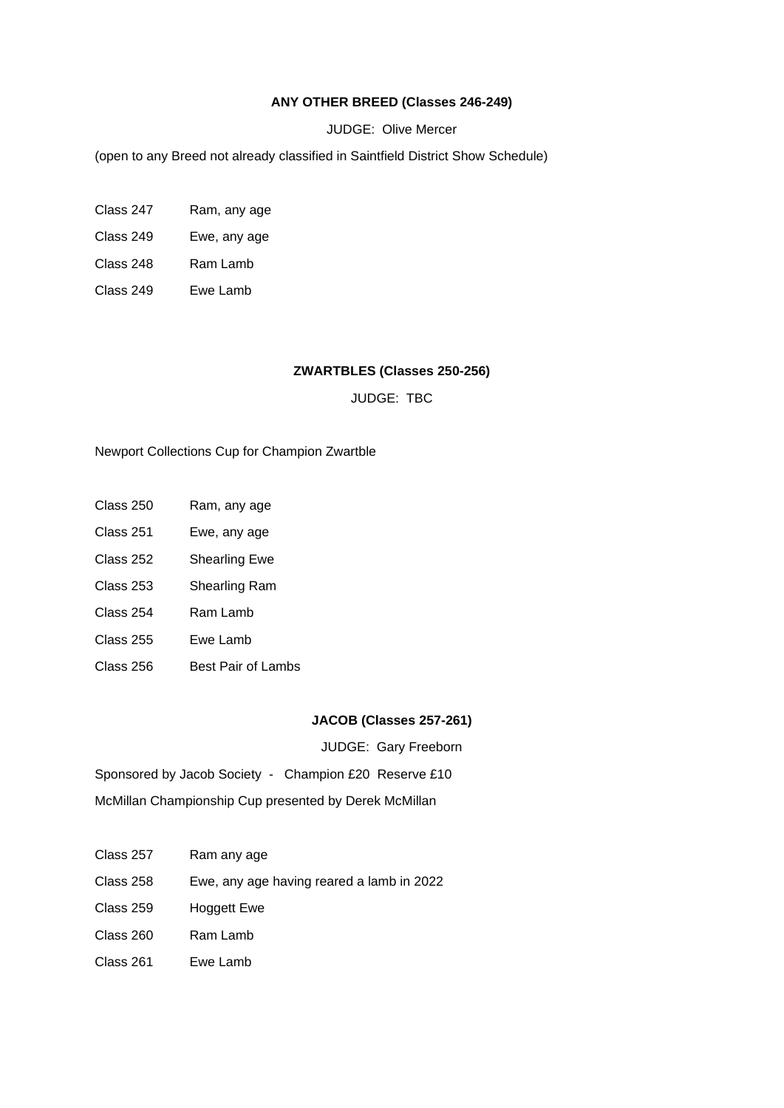#### **ANY OTHER BREED (Classes 246-249)**

#### JUDGE: Olive Mercer

(open to any Breed not already classified in Saintfield District Show Schedule)

- Class 247 Ram, any age
- Class 249 Ewe, any age
- Class 248 Ram Lamb
- Class 249 Ewe Lamb

#### **ZWARTBLES (Classes 250-256)**

JUDGE: TBC

#### Newport Collections Cup for Champion Zwartble

- Class 250 Ram, any age
- Class 251 Ewe, any age
- Class 252 Shearling Ewe
- Class 253 Shearling Ram
- Class 254 Ram Lamb
- Class 255 Ewe Lamb
- Class 256 Best Pair of Lambs

## **JACOB (Classes 257-261)**

JUDGE: Gary Freeborn

Sponsored by Jacob Society - Champion £20 Reserve £10

McMillan Championship Cup presented by Derek McMillan

- Class 257 Ram any age
- Class 258 Ewe, any age having reared a lamb in 2022
- Class 259 Hoggett Ewe
- Class 260 Ram Lamb
- Class 261 Ewe Lamb